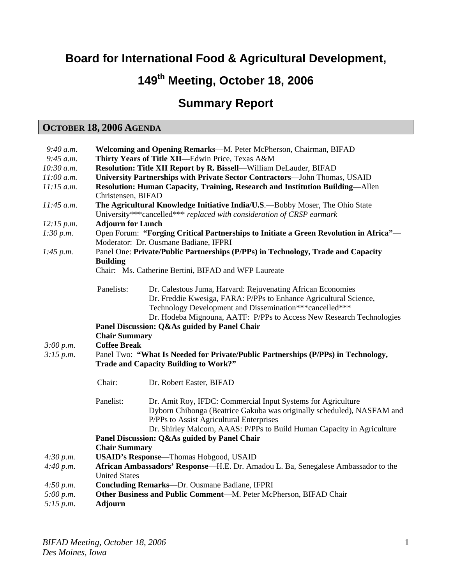## **Board for International Food & Agricultural Development,**

# **149th Meeting, October 18, 2006**

## **Summary Report**

## **OCTOBER 18, 2006 AGENDA**

| 9:40 a.m.              | Welcoming and Opening Remarks-M. Peter McPherson, Chairman, BIFAD                                                                                     |                                                                                                                                                                                                                                                                     |
|------------------------|-------------------------------------------------------------------------------------------------------------------------------------------------------|---------------------------------------------------------------------------------------------------------------------------------------------------------------------------------------------------------------------------------------------------------------------|
| 9:45 a.m.              | Thirty Years of Title XII-Edwin Price, Texas A&M                                                                                                      |                                                                                                                                                                                                                                                                     |
| 10:30 a.m.             | Resolution: Title XII Report by R. Bissell-William DeLauder, BIFAD                                                                                    |                                                                                                                                                                                                                                                                     |
| 11:00 a.m.             | University Partnerships with Private Sector Contractors—John Thomas, USAID                                                                            |                                                                                                                                                                                                                                                                     |
| $11:15$ a.m.           | Resolution: Human Capacity, Training, Research and Institution Building—Allen                                                                         |                                                                                                                                                                                                                                                                     |
|                        | Christensen, BIFAD                                                                                                                                    |                                                                                                                                                                                                                                                                     |
| $11:45$ a.m.           | The Agricultural Knowledge Initiative India/U.S.-Bobby Moser, The Ohio State<br>University***cancelled*** replaced with consideration of CRSP earmark |                                                                                                                                                                                                                                                                     |
| 12:15 p.m.             | <b>Adjourn for Lunch</b>                                                                                                                              |                                                                                                                                                                                                                                                                     |
| 1:30 p.m.              | Open Forum: "Forging Critical Partnerships to Initiate a Green Revolution in Africa"-<br>Moderator: Dr. Ousmane Badiane, IFPRI                        |                                                                                                                                                                                                                                                                     |
|                        | Panel One: Private/Public Partnerships (P/PPs) in Technology, Trade and Capacity                                                                      |                                                                                                                                                                                                                                                                     |
| 1:45 p.m.<br>3:00 p.m. |                                                                                                                                                       |                                                                                                                                                                                                                                                                     |
|                        | <b>Building</b><br>Chair: Ms. Catherine Bertini, BIFAD and WFP Laureate                                                                               |                                                                                                                                                                                                                                                                     |
|                        |                                                                                                                                                       |                                                                                                                                                                                                                                                                     |
|                        | Panelists:                                                                                                                                            | Dr. Calestous Juma, Harvard: Rejuvenating African Economies<br>Dr. Freddie Kwesiga, FARA: P/PPs to Enhance Agricultural Science,<br>Technology Development and Dissemination***cancelled***<br>Dr. Hodeba Mignouna, AATF: P/PPs to Access New Research Technologies |
|                        | Panel Discussion: Q&As guided by Panel Chair                                                                                                          |                                                                                                                                                                                                                                                                     |
|                        | <b>Chair Summary</b>                                                                                                                                  |                                                                                                                                                                                                                                                                     |
|                        | <b>Coffee Break</b>                                                                                                                                   |                                                                                                                                                                                                                                                                     |
| 3:15 p.m.              | Panel Two: "What Is Needed for Private/Public Partnerships (P/PPs) in Technology,                                                                     |                                                                                                                                                                                                                                                                     |
|                        | <b>Trade and Capacity Building to Work?"</b>                                                                                                          |                                                                                                                                                                                                                                                                     |
|                        |                                                                                                                                                       |                                                                                                                                                                                                                                                                     |
|                        | Chair:                                                                                                                                                | Dr. Robert Easter, BIFAD                                                                                                                                                                                                                                            |
|                        |                                                                                                                                                       |                                                                                                                                                                                                                                                                     |
|                        | Panelist:                                                                                                                                             | Dr. Amit Roy, IFDC: Commercial Input Systems for Agriculture                                                                                                                                                                                                        |
|                        |                                                                                                                                                       | Dyborn Chibonga (Beatrice Gakuba was originally scheduled), NASFAM and                                                                                                                                                                                              |
|                        |                                                                                                                                                       | P/PPs to Assist Agricultural Enterprises                                                                                                                                                                                                                            |
|                        |                                                                                                                                                       | Dr. Shirley Malcom, AAAS: P/PPs to Build Human Capacity in Agriculture                                                                                                                                                                                              |
|                        | Panel Discussion: Q&As guided by Panel Chair                                                                                                          |                                                                                                                                                                                                                                                                     |
|                        | <b>Chair Summary</b>                                                                                                                                  |                                                                                                                                                                                                                                                                     |
| 4:30 p.m.<br>4:40 p.m. | <b>USAID's Response</b> -Thomas Hobgood, USAID                                                                                                        |                                                                                                                                                                                                                                                                     |
|                        | African Ambassadors' Response—H.E. Dr. Amadou L. Ba, Senegalese Ambassador to the                                                                     |                                                                                                                                                                                                                                                                     |
|                        | <b>United States</b>                                                                                                                                  |                                                                                                                                                                                                                                                                     |
| 4:50 p.m.              | Concluding Remarks-Dr. Ousmane Badiane, IFPRI                                                                                                         |                                                                                                                                                                                                                                                                     |
| 5:00 p.m.              | Other Business and Public Comment-M. Peter McPherson, BIFAD Chair                                                                                     |                                                                                                                                                                                                                                                                     |
| 5:15 p.m.              | <b>Adjourn</b>                                                                                                                                        |                                                                                                                                                                                                                                                                     |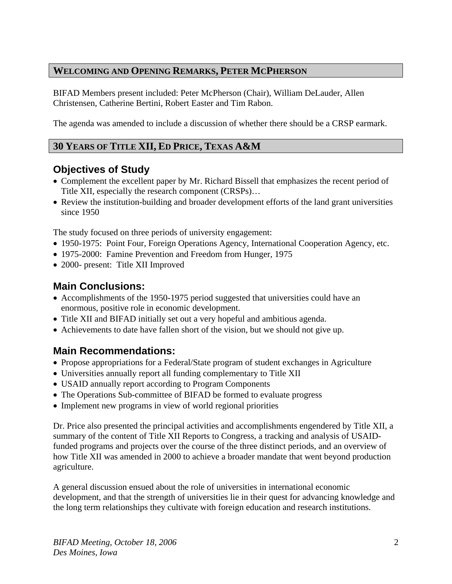#### **WELCOMING AND OPENING REMARKS, PETER MCPHERSON**

BIFAD Members present included: Peter McPherson (Chair), William DeLauder, Allen Christensen, Catherine Bertini, Robert Easter and Tim Rabon.

The agenda was amended to include a discussion of whether there should be a CRSP earmark.

## **30 YEARS OF TITLE XII, ED PRICE, TEXAS A&M**

## **Objectives of Study**

- Complement the excellent paper by Mr. Richard Bissell that emphasizes the recent period of Title XII, especially the research component (CRSPs)…
- Review the institution-building and broader development efforts of the land grant universities since 1950

The study focused on three periods of university engagement:

- 1950-1975: Point Four, Foreign Operations Agency, International Cooperation Agency, etc.
- 1975-2000: Famine Prevention and Freedom from Hunger, 1975
- 2000- present: Title XII Improved

## **Main Conclusions:**

- Accomplishments of the 1950-1975 period suggested that universities could have an enormous, positive role in economic development.
- Title XII and BIFAD initially set out a very hopeful and ambitious agenda.
- Achievements to date have fallen short of the vision, but we should not give up.

### **Main Recommendations:**

- Propose appropriations for a Federal/State program of student exchanges in Agriculture
- Universities annually report all funding complementary to Title XII
- USAID annually report according to Program Components
- The Operations Sub-committee of BIFAD be formed to evaluate progress
- Implement new programs in view of world regional priorities

Dr. Price also presented the principal activities and accomplishments engendered by Title XII, a summary of the content of Title XII Reports to Congress, a tracking and analysis of USAIDfunded programs and projects over the course of the three distinct periods, and an overview of how Title XII was amended in 2000 to achieve a broader mandate that went beyond production agriculture.

A general discussion ensued about the role of universities in international economic development, and that the strength of universities lie in their quest for advancing knowledge and the long term relationships they cultivate with foreign education and research institutions.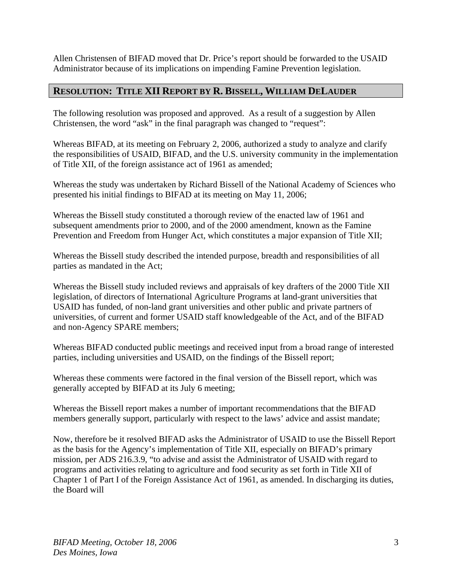Allen Christensen of BIFAD moved that Dr. Price's report should be forwarded to the USAID Administrator because of its implications on impending Famine Prevention legislation.

#### **RESOLUTION: TITLE XII REPORT BY R. BISSELL, WILLIAM DELAUDER**

The following resolution was proposed and approved. As a result of a suggestion by Allen Christensen, the word "ask" in the final paragraph was changed to "request":

Whereas BIFAD, at its meeting on February 2, 2006, authorized a study to analyze and clarify the responsibilities of USAID, BIFAD, and the U.S. university community in the implementation of Title XII, of the foreign assistance act of 1961 as amended;

Whereas the study was undertaken by Richard Bissell of the National Academy of Sciences who presented his initial findings to BIFAD at its meeting on May 11, 2006;

Whereas the Bissell study constituted a thorough review of the enacted law of 1961 and subsequent amendments prior to 2000, and of the 2000 amendment, known as the Famine Prevention and Freedom from Hunger Act, which constitutes a major expansion of Title XII;

Whereas the Bissell study described the intended purpose, breadth and responsibilities of all parties as mandated in the Act;

Whereas the Bissell study included reviews and appraisals of key drafters of the 2000 Title XII legislation, of directors of International Agriculture Programs at land-grant universities that USAID has funded, of non-land grant universities and other public and private partners of universities, of current and former USAID staff knowledgeable of the Act, and of the BIFAD and non-Agency SPARE members;

Whereas BIFAD conducted public meetings and received input from a broad range of interested parties, including universities and USAID, on the findings of the Bissell report;

Whereas these comments were factored in the final version of the Bissell report, which was generally accepted by BIFAD at its July 6 meeting;

Whereas the Bissell report makes a number of important recommendations that the BIFAD members generally support, particularly with respect to the laws' advice and assist mandate;

Now, therefore be it resolved BIFAD asks the Administrator of USAID to use the Bissell Report as the basis for the Agency's implementation of Title XII, especially on BIFAD's primary mission, per ADS 216.3.9, "to advise and assist the Administrator of USAID with regard to programs and activities relating to agriculture and food security as set forth in Title XII of Chapter 1 of Part I of the Foreign Assistance Act of 1961, as amended. In discharging its duties, the Board will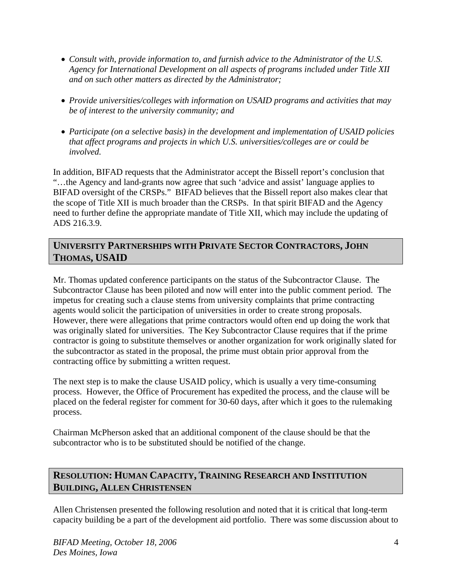- *Consult with, provide information to, and furnish advice to the Administrator of the U.S. Agency for International Development on all aspects of programs included under Title XII and on such other matters as directed by the Administrator;*
- *Provide universities/colleges with information on USAID programs and activities that may be of interest to the university community; and*
- *Participate (on a selective basis) in the development and implementation of USAID policies that affect programs and projects in which U.S. universities/colleges are or could be involved.*

In addition, BIFAD requests that the Administrator accept the Bissell report's conclusion that "…the Agency and land-grants now agree that such 'advice and assist' language applies to BIFAD oversight of the CRSPs." BIFAD believes that the Bissell report also makes clear that the scope of Title XII is much broader than the CRSPs. In that spirit BIFAD and the Agency need to further define the appropriate mandate of Title XII, which may include the updating of ADS 216.3.9.

#### **UNIVERSITY PARTNERSHIPS WITH PRIVATE SECTOR CONTRACTORS, JOHN THOMAS, USAID**

Mr. Thomas updated conference participants on the status of the Subcontractor Clause. The Subcontractor Clause has been piloted and now will enter into the public comment period. The impetus for creating such a clause stems from university complaints that prime contracting agents would solicit the participation of universities in order to create strong proposals. However, there were allegations that prime contractors would often end up doing the work that was originally slated for universities. The Key Subcontractor Clause requires that if the prime contractor is going to substitute themselves or another organization for work originally slated for the subcontractor as stated in the proposal, the prime must obtain prior approval from the contracting office by submitting a written request.

The next step is to make the clause USAID policy, which is usually a very time-consuming process. However, the Office of Procurement has expedited the process, and the clause will be placed on the federal register for comment for 30-60 days, after which it goes to the rulemaking process.

Chairman McPherson asked that an additional component of the clause should be that the subcontractor who is to be substituted should be notified of the change.

## **RESOLUTION: HUMAN CAPACITY, TRAINING RESEARCH AND INSTITUTION BUILDING, ALLEN CHRISTENSEN**

Allen Christensen presented the following resolution and noted that it is critical that long-term capacity building be a part of the development aid portfolio. There was some discussion about to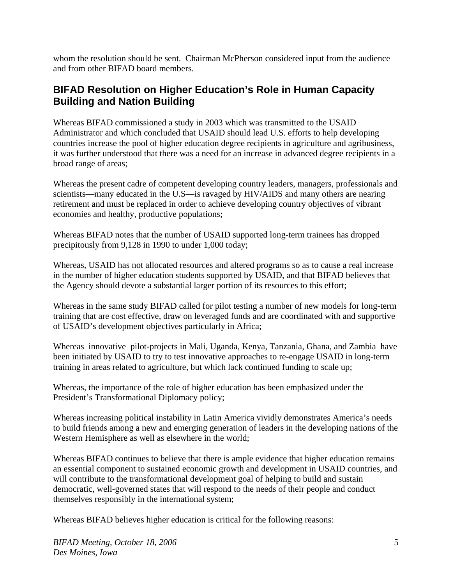whom the resolution should be sent. Chairman McPherson considered input from the audience and from other BIFAD board members.

## **BIFAD Resolution on Higher Education's Role in Human Capacity Building and Nation Building**

Whereas BIFAD commissioned a study in 2003 which was transmitted to the USAID Administrator and which concluded that USAID should lead U.S. efforts to help developing countries increase the pool of higher education degree recipients in agriculture and agribusiness, it was further understood that there was a need for an increase in advanced degree recipients in a broad range of areas;

Whereas the present cadre of competent developing country leaders, managers, professionals and scientists—many educated in the U.S—is ravaged by HIV/AIDS and many others are nearing retirement and must be replaced in order to achieve developing country objectives of vibrant economies and healthy, productive populations;

Whereas BIFAD notes that the number of USAID supported long-term trainees has dropped precipitously from 9,128 in 1990 to under 1,000 today;

Whereas, USAID has not allocated resources and altered programs so as to cause a real increase in the number of higher education students supported by USAID, and that BIFAD believes that the Agency should devote a substantial larger portion of its resources to this effort;

Whereas in the same study BIFAD called for pilot testing a number of new models for long-term training that are cost effective, draw on leveraged funds and are coordinated with and supportive of USAID's development objectives particularly in Africa;

Whereas innovative pilot-projects in Mali, Uganda, Kenya, Tanzania, Ghana, and Zambia have been initiated by USAID to try to test innovative approaches to re-engage USAID in long-term training in areas related to agriculture, but which lack continued funding to scale up;

Whereas, the importance of the role of higher education has been emphasized under the President's Transformational Diplomacy policy;

Whereas increasing political instability in Latin America vividly demonstrates America's needs to build friends among a new and emerging generation of leaders in the developing nations of the Western Hemisphere as well as elsewhere in the world;

Whereas BIFAD continues to believe that there is ample evidence that higher education remains an essential component to sustained economic growth and development in USAID countries, and will contribute to the transformational development goal of helping to build and sustain democratic, well-governed states that will respond to the needs of their people and conduct themselves responsibly in the international system;

Whereas BIFAD believes higher education is critical for the following reasons: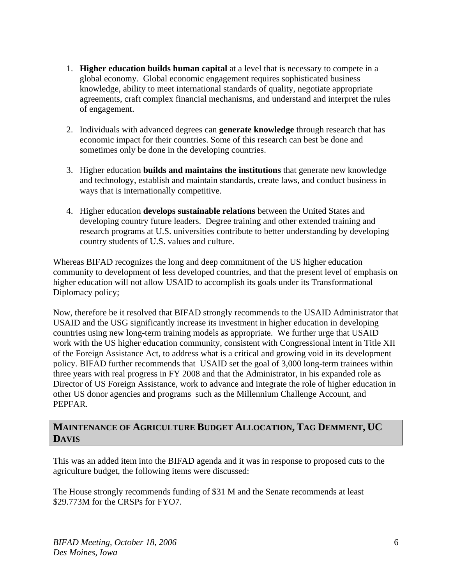- 1. **Higher education builds human capital** at a level that is necessary to compete in a global economy. Global economic engagement requires sophisticated business knowledge, ability to meet international standards of quality, negotiate appropriate agreements, craft complex financial mechanisms, and understand and interpret the rules of engagement.
- 2. Individuals with advanced degrees can **generate knowledge** through research that has economic impact for their countries. Some of this research can best be done and sometimes only be done in the developing countries.
- 3. Higher education **builds and maintains the institutions** that generate new knowledge and technology, establish and maintain standards, create laws, and conduct business in ways that is internationally competitive.
- 4. Higher education **develops sustainable relations** between the United States and developing country future leaders. Degree training and other extended training and research programs at U.S. universities contribute to better understanding by developing country students of U.S. values and culture.

Whereas BIFAD recognizes the long and deep commitment of the US higher education community to development of less developed countries, and that the present level of emphasis on higher education will not allow USAID to accomplish its goals under its Transformational Diplomacy policy;

Now, therefore be it resolved that BIFAD strongly recommends to the USAID Administrator that USAID and the USG significantly increase its investment in higher education in developing countries using new long-term training models as appropriate. We further urge that USAID work with the US higher education community, consistent with Congressional intent in Title XII of the Foreign Assistance Act, to address what is a critical and growing void in its development policy. BIFAD further recommends that USAID set the goal of 3,000 long-term trainees within three years with real progress in FY 2008 and that the Administrator, in his expanded role as Director of US Foreign Assistance, work to advance and integrate the role of higher education in other US donor agencies and programs such as the Millennium Challenge Account, and PEPFAR.

#### **MAINTENANCE OF AGRICULTURE BUDGET ALLOCATION, TAG DEMMENT, UC DAVIS**

This was an added item into the BIFAD agenda and it was in response to proposed cuts to the agriculture budget, the following items were discussed:

The House strongly recommends funding of \$31 M and the Senate recommends at least \$29.773M for the CRSPs for FYO7.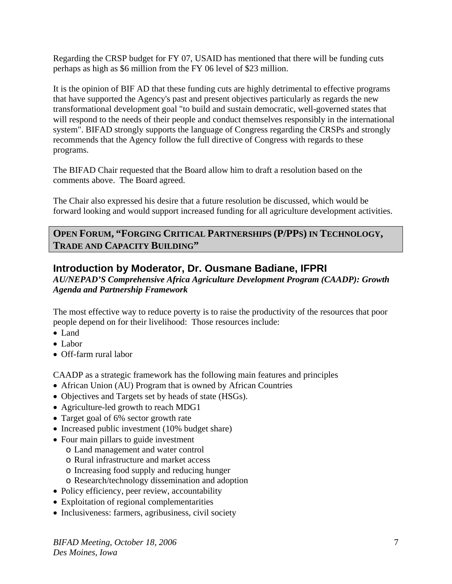Regarding the CRSP budget for FY 07, USAID has mentioned that there will be funding cuts perhaps as high as \$6 million from the FY 06 level of \$23 million.

It is the opinion of BIF AD that these funding cuts are highly detrimental to effective programs that have supported the Agency's past and present objectives particularly as regards the new transformational development goal "to build and sustain democratic, well-governed states that will respond to the needs of their people and conduct themselves responsibly in the international system". BIFAD strongly supports the language of Congress regarding the CRSPs and strongly recommends that the Agency follow the full directive of Congress with regards to these programs.

The BIFAD Chair requested that the Board allow him to draft a resolution based on the comments above. The Board agreed.

The Chair also expressed his desire that a future resolution be discussed, which would be forward looking and would support increased funding for all agriculture development activities.

#### **OPEN FORUM, "FORGING CRITICAL PARTNERSHIPS (P/PPS) IN TECHNOLOGY, TRADE AND CAPACITY BUILDING"**

## **Introduction by Moderator, Dr. Ousmane Badiane, IFPRI**

*AU/NEPAD'S Comprehensive Africa Agriculture Development Program (CAADP): Growth Agenda and Partnership Framework* 

The most effective way to reduce poverty is to raise the productivity of the resources that poor people depend on for their livelihood: Those resources include:

- Land
- Labor
- Off-farm rural labor

CAADP as a strategic framework has the following main features and principles

- African Union (AU) Program that is owned by African Countries
- Objectives and Targets set by heads of state (HSGs).
- Agriculture-led growth to reach MDG1
- Target goal of 6% sector growth rate
- Increased public investment (10% budget share)
- Four main pillars to guide investment
	- o Land management and water control
	- o Rural infrastructure and market access
	- o Increasing food supply and reducing hunger
	- o Research/technology dissemination and adoption
- Policy efficiency, peer review, accountability
- Exploitation of regional complementarities
- Inclusiveness: farmers, agribusiness, civil society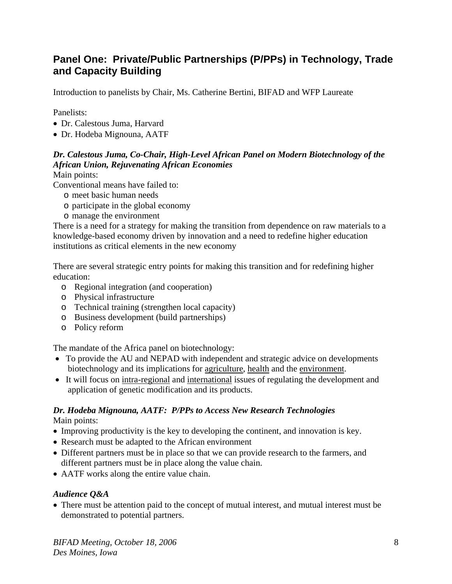## **Panel One: Private/Public Partnerships (P/PPs) in Technology, Trade and Capacity Building**

Introduction to panelists by Chair, Ms. Catherine Bertini, BIFAD and WFP Laureate

Panelists:

- Dr. Calestous Juma, Harvard
- Dr. Hodeba Mignouna, AATF

#### *Dr. Calestous Juma, Co-Chair, High-Level African Panel on Modern Biotechnology of the African Union, Rejuvenating African Economies*

Main points:

Conventional means have failed to:

- o meet basic human needs
- o participate in the global economy
- o manage the environment

There is a need for a strategy for making the transition from dependence on raw materials to a knowledge-based economy driven by innovation and a need to redefine higher education institutions as critical elements in the new economy

There are several strategic entry points for making this transition and for redefining higher education:

- o Regional integration (and cooperation)
- o Physical infrastructure
- o Technical training (strengthen local capacity)
- o Business development (build partnerships)
- o Policy reform

The mandate of the Africa panel on biotechnology:

- To provide the AU and NEPAD with independent and strategic advice on developments biotechnology and its implications for agriculture, health and the environment.
- It will focus on intra-regional and international issues of regulating the development and application of genetic modification and its products.

# *Dr. Hodeba Mignouna, AATF: P/PPs to Access New Research Technologies*

Main points:

- Improving productivity is the key to developing the continent, and innovation is key.
- Research must be adapted to the African environment
- Different partners must be in place so that we can provide research to the farmers, and different partners must be in place along the value chain.
- AATF works along the entire value chain.

#### *Audience Q&A*

• There must be attention paid to the concept of mutual interest, and mutual interest must be demonstrated to potential partners.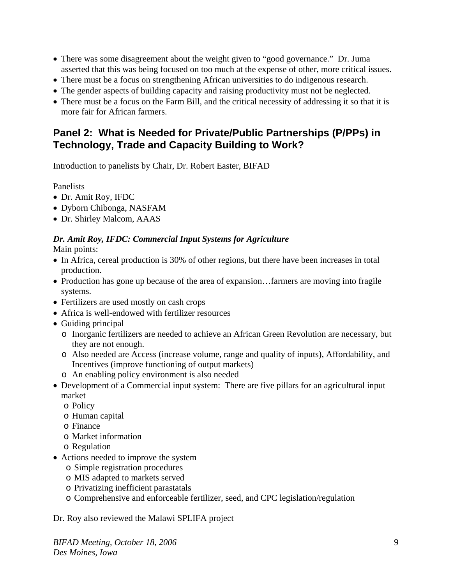- There was some disagreement about the weight given to "good governance." Dr. Juma asserted that this was being focused on too much at the expense of other, more critical issues.
- There must be a focus on strengthening African universities to do indigenous research.
- The gender aspects of building capacity and raising productivity must not be neglected.
- There must be a focus on the Farm Bill, and the critical necessity of addressing it so that it is more fair for African farmers.

## **Panel 2: What is Needed for Private/Public Partnerships (P/PPs) in Technology, Trade and Capacity Building to Work?**

Introduction to panelists by Chair, Dr. Robert Easter, BIFAD

Panelists

- Dr. Amit Roy, IFDC
- Dyborn Chibonga, NASFAM
- Dr. Shirley Malcom, AAAS

## *Dr. Amit Roy, IFDC: Commercial Input Systems for Agriculture*

Main points:

- In Africa, cereal production is 30% of other regions, but there have been increases in total production.
- Production has gone up because of the area of expansion...farmers are moving into fragile systems.
- Fertilizers are used mostly on cash crops
- Africa is well-endowed with fertilizer resources
- Guiding principal
	- o Inorganic fertilizers are needed to achieve an African Green Revolution are necessary, but they are not enough.
	- o Also needed are Access (increase volume, range and quality of inputs), Affordability, and Incentives (improve functioning of output markets)
	- o An enabling policy environment is also needed
- Development of a Commercial input system: There are five pillars for an agricultural input market
	- o Policy
	- o Human capital
	- o Finance
	- o Market information
	- o Regulation
- Actions needed to improve the system
	- o Simple registration procedures
	- o MIS adapted to markets served
	- o Privatizing inefficient parastatals
	- o Comprehensive and enforceable fertilizer, seed, and CPC legislation/regulation

Dr. Roy also reviewed the Malawi SPLIFA project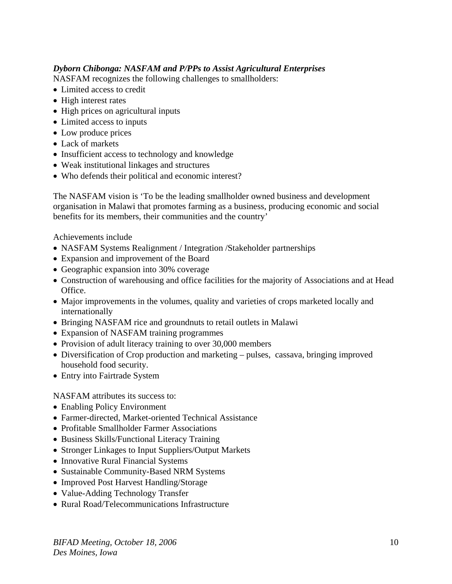#### *Dyborn Chibonga: NASFAM and P/PPs to Assist Agricultural Enterprises*

NASFAM recognizes the following challenges to smallholders:

- Limited access to credit
- High interest rates
- High prices on agricultural inputs
- Limited access to inputs
- Low produce prices
- Lack of markets
- Insufficient access to technology and knowledge
- Weak institutional linkages and structures
- Who defends their political and economic interest?

The NASFAM vision is 'To be the leading smallholder owned business and development organisation in Malawi that promotes farming as a business, producing economic and social benefits for its members, their communities and the country'

Achievements include

- NASFAM Systems Realignment / Integration /Stakeholder partnerships
- Expansion and improvement of the Board
- Geographic expansion into 30% coverage
- Construction of warehousing and office facilities for the majority of Associations and at Head Office.
- Major improvements in the volumes, quality and varieties of crops marketed locally and internationally
- Bringing NASFAM rice and groundnuts to retail outlets in Malawi
- Expansion of NASFAM training programmes
- Provision of adult literacy training to over 30,000 members
- Diversification of Crop production and marketing pulses, cassava, bringing improved household food security.
- Entry into Fairtrade System

NASFAM attributes its success to:

- Enabling Policy Environment
- Farmer-directed, Market-oriented Technical Assistance
- Profitable Smallholder Farmer Associations
- Business Skills/Functional Literacy Training
- Stronger Linkages to Input Suppliers/Output Markets
- Innovative Rural Financial Systems
- Sustainable Community-Based NRM Systems
- Improved Post Harvest Handling/Storage
- Value-Adding Technology Transfer
- Rural Road/Telecommunications Infrastructure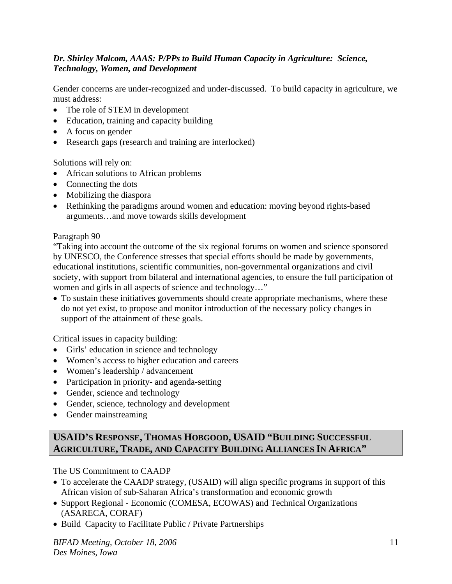#### *Dr. Shirley Malcom, AAAS: P/PPs to Build Human Capacity in Agriculture: Science, Technology, Women, and Development*

Gender concerns are under-recognized and under-discussed. To build capacity in agriculture, we must address:

- The role of STEM in development
- Education, training and capacity building
- A focus on gender
- Research gaps (research and training are interlocked)

Solutions will rely on:

- African solutions to African problems
- Connecting the dots
- Mobilizing the diaspora
- Rethinking the paradigms around women and education: moving beyond rights-based arguments…and move towards skills development

#### Paragraph 90

"Taking into account the outcome of the six regional forums on women and science sponsored by UNESCO, the Conference stresses that special efforts should be made by governments, educational institutions, scientific communities, non-governmental organizations and civil society, with support from bilateral and international agencies, to ensure the full participation of women and girls in all aspects of science and technology…"

• To sustain these initiatives governments should create appropriate mechanisms, where these do not yet exist, to propose and monitor introduction of the necessary policy changes in support of the attainment of these goals.

Critical issues in capacity building:

- Girls' education in science and technology
- Women's access to higher education and careers
- Women's leadership / advancement
- Participation in priority- and agenda-setting
- Gender, science and technology
- Gender, science, technology and development
- Gender mainstreaming

### **USAID'S RESPONSE, THOMAS HOBGOOD, USAID "BUILDING SUCCESSFUL AGRICULTURE, TRADE, AND CAPACITY BUILDING ALLIANCES IN AFRICA"**

The US Commitment to CAADP

- To accelerate the CAADP strategy, (USAID) will align specific programs in support of this African vision of sub-Saharan Africa's transformation and economic growth
- Support Regional Economic (COMESA, ECOWAS) and Technical Organizations (ASARECA, CORAF)
- Build Capacity to Facilitate Public / Private Partnerships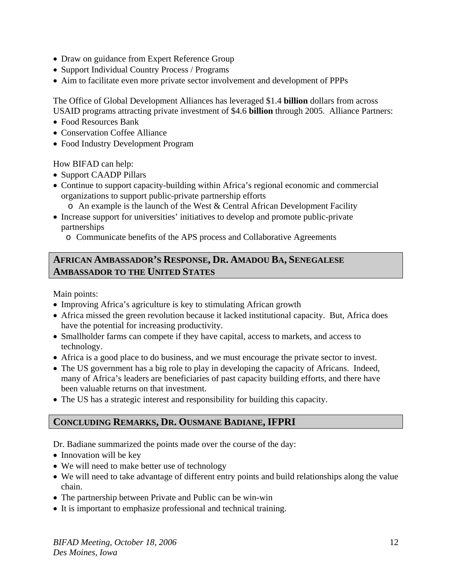- Draw on guidance from Expert Reference Group
- Support Individual Country Process / Programs
- Aim to facilitate even more private sector involvement and development of PPPs

The Office of Global Development Alliances has leveraged \$1.4 **billion** dollars from across USAID programs attracting private investment of \$4.6 **billion** through 2005. Alliance Partners:

- Food Resources Bank
- Conservation Coffee Alliance
- Food Industry Development Program

How BIFAD can help:

- Support CAADP Pillars
- Continue to support capacity-building within Africa's regional economic and commercial organizations to support public-private partnership efforts
	- o An example is the launch of the West & Central African Development Facility
- Increase support for universities' initiatives to develop and promote public-private partnerships
	- o Communicate benefits of the APS process and Collaborative Agreements

#### **AFRICAN AMBASSADOR'S RESPONSE, DR. AMADOU BA, SENEGALESE AMBASSADOR TO THE UNITED STATES**

Main points:

- Improving Africa's agriculture is key to stimulating African growth
- Africa missed the green revolution because it lacked institutional capacity. But, Africa does have the potential for increasing productivity.
- Smallholder farms can compete if they have capital, access to markets, and access to technology.
- Africa is a good place to do business, and we must encourage the private sector to invest.
- The US government has a big role to play in developing the capacity of Africans. Indeed, many of Africa's leaders are beneficiaries of past capacity building efforts, and there have been valuable returns on that investment.
- The US has a strategic interest and responsibility for building this capacity.

### **CONCLUDING REMARKS, DR. OUSMANE BADIANE, IFPRI**

Dr. Badiane summarized the points made over the course of the day:

- Innovation will be key
- We will need to make better use of technology
- We will need to take advantage of different entry points and build relationships along the value chain.
- The partnership between Private and Public can be win-win
- It is important to emphasize professional and technical training.